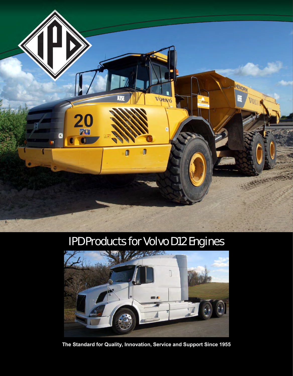

# IPD Products for Volvo D12 Engines



**The Standard for Quality, Innovation, Service and Support Since 1955**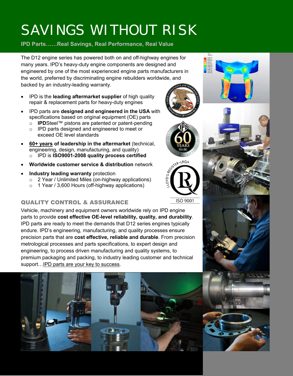# SAVINGS WITHOUT RISK

# **IPD Parts……Real Savings, Real Performance, Real Value**

The D12 engine series has powered both on and off-highway engines for many years. IPD's heavy-duty engine components are designed and engineered by one of the most experienced engine parts manufacturers in the world, preferred by discriminating engine rebuilders worldwide, and backed by an industry-leading warranty.

- IPD is the **leading aftermarket supplier** of high quality repair & replacement parts for heavy-duty engines
- IPD parts are **designed and engineered in the USA** with specifications based on original equipment (OE) parts
	- o **IPD**Steel™ pistons are patented or patent-pending o IPD parts designed and engineered to meet or exceed OE level standards
- **60+ years of leadership in the aftermarket** (technical, engineering, design, manufacturing, and quality) o IPD is **ISO9001-2008 quality process certified**
- **Worldwide customer service & distribution** network
- **Industry leading warranty** protection
	- o 2 Year / Unlimited Miles (on-highway applications)
	- o 1 Year / 3,600 Hours (off-highway applications)

## QUALITY CONTROL & ASSURANCE

Vehicle, machinery and equipment owners worldwide rely on IPD engine parts to provide **cost effective OE-level reliability, quality, and durability**. IPD parts are ready to meet the demands that D12 series engines typically endure. IPD's engineering, manufacturing, and quality processes ensure precision parts that are **cost effective, reliable and durable**. From precision metrological processes and parts specifications, to expert design and engineering, to process driven manufacturing and quality systems, to premium packaging and packing, to industry leading customer and technical support... **IPD** parts are your key to success.









ISO 9001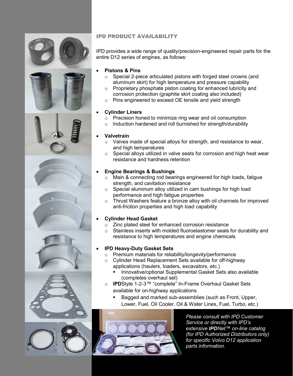









### IPD PRODUCT AVAILABILITY

IPD provides a wide range of quality/precision-engineered repair parts for the entire D12 series of engines, as follows:

#### **Pistons & Pins**

- o Special 2-piece articulated pistons with forged steel crowns (and aluminum skirt) for high temperature and pressure capability
- o Proprietary phosphate piston coating for enhanced lubricity and corrosion protection (graphite skirt coating also included)
- o Pins engineered to exceed OE tensile and yield strength

#### **Cylinder Liners**

- o Precision honed to minimize ring wear and oil consumption
- o Induction hardened and roll burnished for strength/durability

#### **Valvetrain**

- o Valves made of special alloys for strength, and resistance to wear, and high temperatures
- o Special alloys utilized in valve seats for corrosion and high heat wear resistance and hardness retention

#### **Engine Bearings & Bushings**

- o Main & connecting rod bearings engineered for high loads, fatigue strength, and cavitation resistance
- $\circ$  Special aluminum alloy utilized in cam bushings for high load performance and high fatigue properties
- o Thrust Washers feature a bronze alloy with oil channels for improved anti-friction properties and high load capability

#### **Cylinder Head Gasket**

- o Zinc plated steel for enhanced corrosion resistance
- o Stainless inserts with molded fluoroelastomer seals for durability and resistance to high temperatures and engine chemicals

#### **IPD Heavy-Duty Gasket Sets**

- o Premium materials for reliability/longevity/performance
- o Cylinder Head Replacement Sets available for off-highway applications (haulers, loaders, excavators, etc.)
	- Innovative/optional Supplemental Gasket Sets also available (completes overhaul set)
- o **IPD**Style 1-2-3™ "complete" In-Frame Overhaul Gasket Sets available for on-highway applications
	- Bagged and marked sub-assemblies (such as Front, Upper, Lower, Fuel, Oil Cooler, Oil & Water Lines, Fuel, Turbo, etc.)



*Please consult with IPD Customer Service or directly with IPD's extensive IPDNet™ on-line catalog (for IPD Authorized Distributors only) for specific Volvo D12 application parts information.*